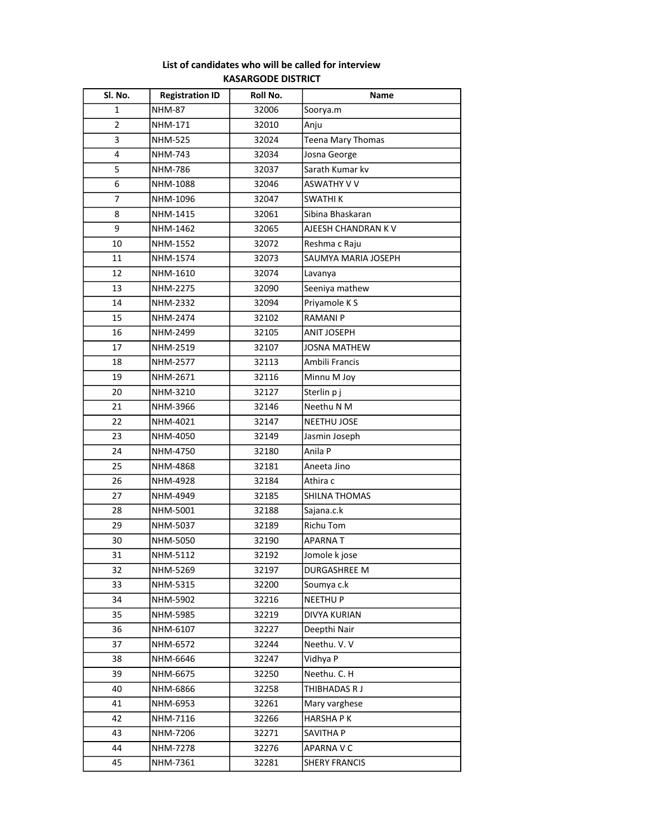| Sl. No.        | <b>Registration ID</b> | Roll No. | Name                 |
|----------------|------------------------|----------|----------------------|
| 1              | <b>NHM-87</b>          | 32006    | Soorya.m             |
| $\overline{2}$ | NHM-171                | 32010    | Anju                 |
| 3              | <b>NHM-525</b>         | 32024    | Teena Mary Thomas    |
| 4              | NHM-743                | 32034    | Josna George         |
| 5              | NHM-786                | 32037    | Sarath Kumar kv      |
| 6              | NHM-1088               | 32046    | <b>ASWATHY V V</b>   |
| $\overline{7}$ | NHM-1096               | 32047    | <b>SWATHIK</b>       |
| 8              | NHM-1415               | 32061    | Sibina Bhaskaran     |
| 9              | NHM-1462               | 32065    | AJEESH CHANDRAN K V  |
| 10             | NHM-1552               | 32072    | Reshma c Raju        |
| 11             | NHM-1574               | 32073    | SAUMYA MARIA JOSEPH  |
| 12             | NHM-1610               | 32074    | Lavanya              |
| 13             | NHM-2275               | 32090    | Seeniya mathew       |
| 14             | NHM-2332               | 32094    | Priyamole K S        |
| 15             | NHM-2474               | 32102    | <b>RAMANIP</b>       |
| 16             | NHM-2499               | 32105    | <b>ANIT JOSEPH</b>   |
| 17             | NHM-2519               | 32107    | <b>JOSNA MATHEW</b>  |
| 18             | NHM-2577               | 32113    | Ambili Francis       |
| 19             | NHM-2671               | 32116    | Minnu M Joy          |
| 20             | NHM-3210               | 32127    | Sterlin p j          |
| 21             | NHM-3966               | 32146    | Neethu N M           |
| 22             | NHM-4021               | 32147    | NEETHU JOSE          |
| 23             | NHM-4050               | 32149    | Jasmin Joseph        |
| 24             | NHM-4750               | 32180    | Anila P              |
| 25             | NHM-4868               | 32181    | Aneeta Jino          |
| 26             | NHM-4928               | 32184    | Athira c             |
| 27             | NHM-4949               | 32185    | SHILNA THOMAS        |
| 28             | NHM-5001               | 32188    | Sajana.c.k           |
| 29             | NHM-5037               | 32189    | <b>Richu Tom</b>     |
| 30             | NHM-5050               | 32190    | APARNA T             |
| 31             | NHM-5112               | 32192    | Jomole k jose        |
| 32             | NHM-5269               | 32197    | <b>DURGASHREE M</b>  |
| 33             | NHM-5315               | 32200    | Soumya c.k           |
| 34             | NHM-5902               | 32216    | <b>NEETHUP</b>       |
| 35             | NHM-5985               | 32219    | DIVYA KURIAN         |
| 36             | NHM-6107               | 32227    | Deepthi Nair         |
| 37             | NHM-6572               | 32244    | Neethu. V. V         |
| 38             | NHM-6646               | 32247    | Vidhya P             |
| 39             | NHM-6675               | 32250    | Neethu. C. H         |
| 40             | NHM-6866               | 32258    | THIBHADAS R J        |
| 41             | NHM-6953               | 32261    | Mary varghese        |
| 42             | NHM-7116               | 32266    | <b>HARSHAPK</b>      |
| 43             | NHM-7206               | 32271    | SAVITHA P            |
| 44             | NHM-7278               | 32276    | APARNA V C           |
| 45             | NHM-7361               | 32281    | <b>SHERY FRANCIS</b> |

## List of candidates who will be called for interview KASARGODE DISTRICT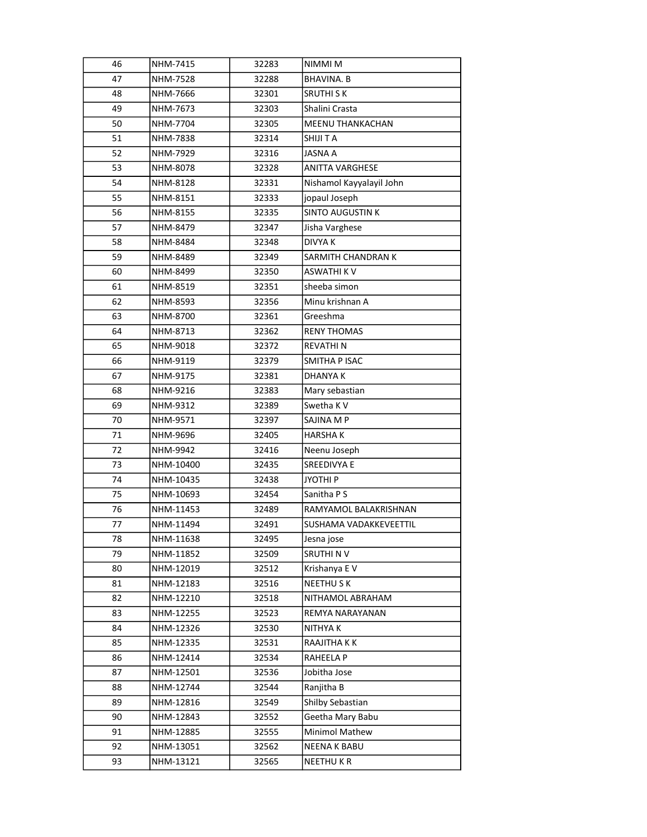| 46 | NHM-7415  | 32283 | NIMMI M                  |
|----|-----------|-------|--------------------------|
| 47 | NHM-7528  | 32288 | <b>BHAVINA. B</b>        |
| 48 | NHM-7666  | 32301 | <b>SRUTHI SK</b>         |
| 49 | NHM-7673  | 32303 | Shalini Crasta           |
| 50 | NHM-7704  | 32305 | <b>MEENU THANKACHAN</b>  |
| 51 | NHM-7838  | 32314 | SHIJI T A                |
| 52 | NHM-7929  | 32316 | JASNA A                  |
| 53 | NHM-8078  | 32328 | <b>ANITTA VARGHESE</b>   |
| 54 | NHM-8128  | 32331 | Nishamol Kayyalayil John |
| 55 | NHM-8151  | 32333 | jopaul Joseph            |
| 56 | NHM-8155  | 32335 | <b>SINTO AUGUSTIN K</b>  |
| 57 | NHM-8479  | 32347 | Jisha Varghese           |
| 58 | NHM-8484  | 32348 | <b>DIVYAK</b>            |
| 59 | NHM-8489  | 32349 | SARMITH CHANDRAN K       |
| 60 | NHM-8499  | 32350 | ASWATHI K V              |
| 61 | NHM-8519  | 32351 | sheeba simon             |
| 62 | NHM-8593  | 32356 | Minu krishnan A          |
| 63 | NHM-8700  | 32361 | Greeshma                 |
| 64 | NHM-8713  | 32362 | <b>RENY THOMAS</b>       |
| 65 | NHM-9018  | 32372 | <b>REVATHIN</b>          |
| 66 | NHM-9119  | 32379 | SMITHA P ISAC            |
| 67 | NHM-9175  | 32381 | <b>DHANYAK</b>           |
| 68 | NHM-9216  | 32383 | Mary sebastian           |
| 69 | NHM-9312  | 32389 | Swetha K V               |
| 70 | NHM-9571  | 32397 | SAJINA M P               |
| 71 | NHM-9696  | 32405 | <b>HARSHAK</b>           |
| 72 | NHM-9942  | 32416 | Neenu Joseph             |
| 73 | NHM-10400 | 32435 | SREEDIVYA E              |
| 74 | NHM-10435 | 32438 | <b>JYOTHIP</b>           |
| 75 | NHM-10693 | 32454 | Sanitha P S              |
| 76 | NHM-11453 | 32489 | RAMYAMOL BALAKRISHNAN    |
| 77 | NHM-11494 | 32491 | SUSHAMA VADAKKEVEETTIL   |
| 78 | NHM-11638 | 32495 | Jesna jose               |
| 79 | NHM-11852 | 32509 | <b>SRUTHINV</b>          |
| 80 | NHM-12019 | 32512 | Krishanya E V            |
| 81 | NHM-12183 | 32516 | <b>NEETHUSK</b>          |
| 82 | NHM-12210 | 32518 | NITHAMOL ABRAHAM         |
| 83 | NHM-12255 | 32523 | REMYA NARAYANAN          |
| 84 | NHM-12326 | 32530 | NITHYA K                 |
| 85 | NHM-12335 | 32531 | RAAJITHA K K             |
| 86 | NHM-12414 | 32534 | RAHEELA P                |
| 87 | NHM-12501 | 32536 | Jobitha Jose             |
| 88 | NHM-12744 | 32544 | Ranjitha B               |
| 89 | NHM-12816 | 32549 | Shilby Sebastian         |
| 90 | NHM-12843 | 32552 | Geetha Mary Babu         |
| 91 | NHM-12885 | 32555 | <b>Minimol Mathew</b>    |
| 92 | NHM-13051 | 32562 | <b>NEENA K BABU</b>      |
| 93 | NHM-13121 | 32565 | NEETHU K R               |
|    |           |       |                          |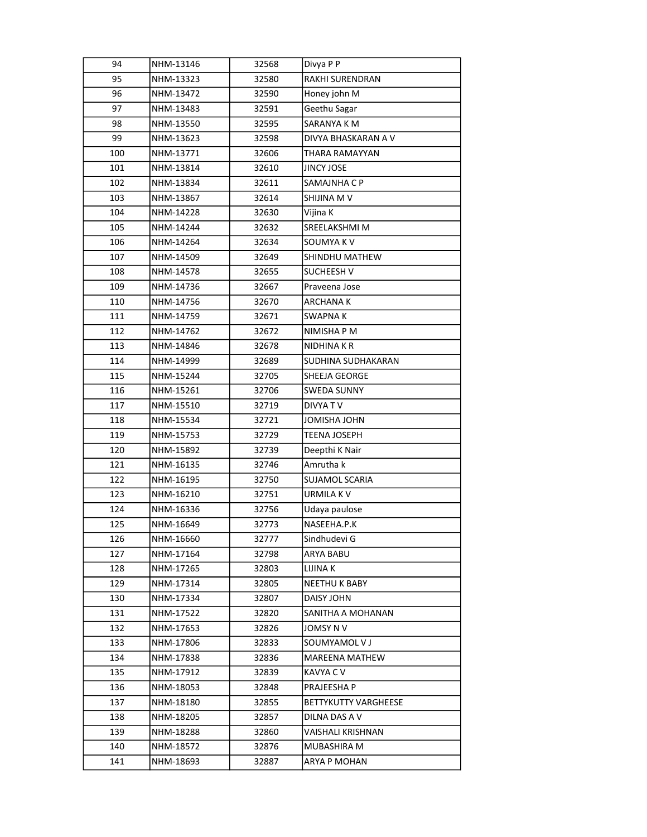| 94  | NHM-13146 | 32568 | Divya P P             |
|-----|-----------|-------|-----------------------|
| 95  | NHM-13323 | 32580 | RAKHI SURENDRAN       |
| 96  | NHM-13472 | 32590 | Honey john M          |
| 97  | NHM-13483 | 32591 | Geethu Sagar          |
| 98  | NHM-13550 | 32595 | SARANYA K M           |
| 99  | NHM-13623 | 32598 | DIVYA BHASKARAN A V   |
| 100 | NHM-13771 | 32606 | THARA RAMAYYAN        |
| 101 | NHM-13814 | 32610 | <b>JINCY JOSE</b>     |
| 102 | NHM-13834 | 32611 | SAMAJNHA C P          |
| 103 | NHM-13867 | 32614 | SHIJINA M V           |
| 104 | NHM-14228 | 32630 | Vijina K              |
| 105 | NHM-14244 | 32632 | SREELAKSHMI M         |
| 106 | NHM-14264 | 32634 | SOUMYA K V            |
| 107 | NHM-14509 | 32649 | SHINDHU MATHEW        |
| 108 | NHM-14578 | 32655 | <b>SUCHEESH V</b>     |
| 109 | NHM-14736 | 32667 | Praveena Jose         |
| 110 | NHM-14756 | 32670 | <b>ARCHANAK</b>       |
| 111 | NHM-14759 | 32671 | SWAPNA K              |
| 112 | NHM-14762 | 32672 | NIMISHA P M           |
| 113 | NHM-14846 | 32678 | NIDHINA K R           |
| 114 | NHM-14999 | 32689 | SUDHINA SUDHAKARAN    |
| 115 | NHM-15244 | 32705 | SHEEJA GEORGE         |
| 116 | NHM-15261 | 32706 | <b>SWEDA SUNNY</b>    |
| 117 | NHM-15510 | 32719 | DIVYA T V             |
| 118 | NHM-15534 | 32721 | JOMISHA JOHN          |
| 119 | NHM-15753 | 32729 | <b>TEENA JOSEPH</b>   |
| 120 | NHM-15892 | 32739 | Deepthi K Nair        |
| 121 | NHM-16135 | 32746 | Amrutha k             |
| 122 | NHM-16195 | 32750 | SUJAMOL SCARIA        |
| 123 | NHM-16210 | 32751 | URMILA K V            |
| 124 | NHM-16336 | 32756 | Udaya paulose         |
| 125 | NHM-16649 | 32773 | NASEEHA.P.K           |
| 126 | NHM-16660 | 32777 | Sindhudevi G          |
| 127 | NHM-17164 | 32798 | ARYA BABU             |
| 128 | NHM-17265 | 32803 | LIJINA K              |
| 129 | NHM-17314 | 32805 | NEETHU K BABY         |
| 130 | NHM-17334 | 32807 | DAISY JOHN            |
| 131 | NHM-17522 | 32820 | SANITHA A MOHANAN     |
| 132 | NHM-17653 | 32826 | JOMSY N V             |
| 133 | NHM-17806 | 32833 | SOUMYAMOL V J         |
| 134 | NHM-17838 | 32836 | <b>MAREENA MATHEW</b> |
| 135 | NHM-17912 | 32839 | KAVYA C V             |
| 136 | NHM-18053 | 32848 | PRAJEESHA P           |
| 137 | NHM-18180 | 32855 | BETTYKUTTY VARGHEESE  |
| 138 | NHM-18205 | 32857 | DILNA DAS A V         |
| 139 | NHM-18288 | 32860 | VAISHALI KRISHNAN     |
| 140 | NHM-18572 | 32876 | MUBASHIRA M           |
| 141 | NHM-18693 | 32887 | ARYA P MOHAN          |
|     |           |       |                       |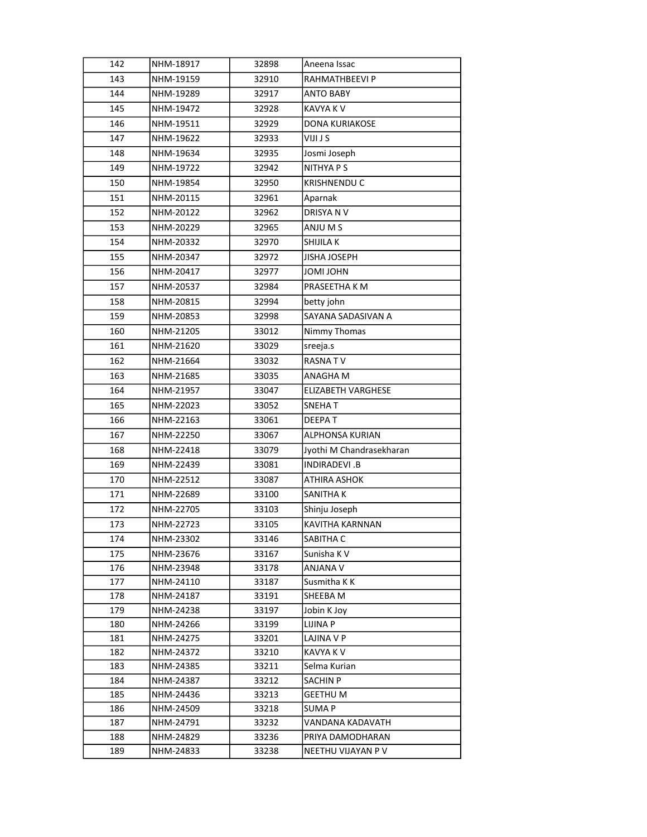| 142        | NHM-18917              | 32898          | Aneena Issac                    |
|------------|------------------------|----------------|---------------------------------|
| 143        | NHM-19159              | 32910          | RAHMATHBEEVI P                  |
| 144        | NHM-19289              | 32917          | <b>ANTO BABY</b>                |
| 145        | NHM-19472              | 32928          | <b>KAVYA K V</b>                |
| 146        | NHM-19511              | 32929          | <b>DONA KURIAKOSE</b>           |
| 147        | NHM-19622              | 32933          | VIJI J S                        |
| 148        | NHM-19634              | 32935          | Josmi Joseph                    |
| 149        | NHM-19722              | 32942          | NITHYA P S                      |
| 150        | NHM-19854              | 32950          | KRISHNENDU C                    |
| 151        | NHM-20115              | 32961          | Aparnak                         |
| 152        | NHM-20122              | 32962          | DRISYA N V                      |
| 153        | NHM-20229              | 32965          | ANJU M S                        |
| 154        | NHM-20332              | 32970          | SHIJILA K                       |
| 155        | NHM-20347              | 32972          | <b>JISHA JOSEPH</b>             |
| 156        | NHM-20417              | 32977          | <b>JOMI JOHN</b>                |
| 157        | NHM-20537              | 32984          | PRASEETHA K M                   |
| 158        | NHM-20815              | 32994          | betty john                      |
| 159        | NHM-20853              | 32998          | SAYANA SADASIVAN A              |
| 160        | NHM-21205              | 33012          | Nimmy Thomas                    |
| 161        | NHM-21620              | 33029          | sreeja.s                        |
| 162        | NHM-21664              | 33032          | <b>RASNATV</b>                  |
| 163        | NHM-21685              | 33035          | ANAGHA M                        |
| 164        | NHM-21957              | 33047          | <b>ELIZABETH VARGHESE</b>       |
| 165        | NHM-22023              | 33052          | <b>SNEHAT</b>                   |
| 166        | NHM-22163              | 33061          | DEEPAT                          |
| 167        | NHM-22250              | 33067          | <b>ALPHONSA KURIAN</b>          |
| 168        | NHM-22418              | 33079          | Jyothi M Chandrasekharan        |
| 169        | NHM-22439              | 33081          | INDIRADEVI.B                    |
| 170        | NHM-22512              | 33087          | <b>ATHIRA ASHOK</b>             |
| 171        | NHM-22689              | 33100          | SANITHA K                       |
| 172        | NHM-22705              | 33103          | Shinju Joseph                   |
| 173        | NHM-22723              | 33105          | KAVITHA KARNNAN                 |
| 174        | NHM-23302              | 33146          | SABITHA C                       |
| 175        | NHM-23676              | 33167          | Sunisha K V                     |
| 176        | NHM-23948              | 33178          | <b>ANJANA V</b>                 |
| 177        | NHM-24110              | 33187          | Susmitha K K                    |
| 178        | NHM-24187              | 33191          | SHEEBA M                        |
| 179        | NHM-24238              | 33197          | Jobin K Joy                     |
| 180        | NHM-24266              | 33199          | <b>LIJINA P</b>                 |
| 181        | NHM-24275              | 33201          | LAJINA V P                      |
| 182        | NHM-24372              | 33210          | KAVYA K V                       |
| 183        | NHM-24385              | 33211          | Selma Kurian                    |
| 184        | NHM-24387              | 33212          | <b>SACHIN P</b>                 |
| 185<br>186 | NHM-24436<br>NHM-24509 | 33213<br>33218 | <b>GEETHU M</b><br><b>SUMAP</b> |
| 187        | NHM-24791              | 33232          | VANDANA KADAVATH                |
| 188        | NHM-24829              | 33236          | PRIYA DAMODHARAN                |
| 189        | NHM-24833              | 33238          | NEETHU VIJAYAN P V              |
|            |                        |                |                                 |